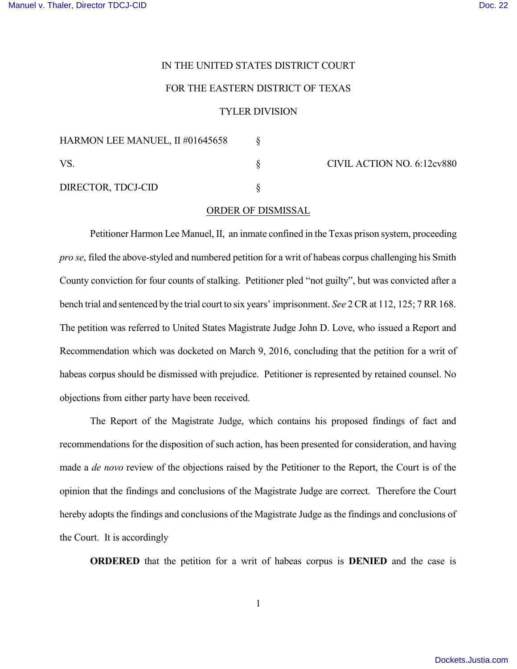## IN THE UNITED STATES DISTRICT COURT

## FOR THE EASTERN DISTRICT OF TEXAS

## TYLER DIVISION

| HARMON LEE MANUEL, II #01645658 |                            |
|---------------------------------|----------------------------|
| VS.                             | CIVIL ACTION NO. 6:12cv880 |
| DIRECTOR, TDCJ-CID              |                            |

## ORDER OF DISMISSAL

Petitioner Harmon Lee Manuel, II, an inmate confined in the Texas prison system, proceeding *pro se*, filed the above-styled and numbered petition for a writ of habeas corpus challenging his Smith County conviction for four counts of stalking. Petitioner pled "not guilty", but was convicted after a bench trial and sentenced by the trial court to six years' imprisonment. *See* 2 CR at 112, 125; 7 RR 168. The petition was referred to United States Magistrate Judge John D. Love, who issued a Report and Recommendation which was docketed on March 9, 2016, concluding that the petition for a writ of habeas corpus should be dismissed with prejudice. Petitioner is represented by retained counsel. No objections from either party have been received.

The Report of the Magistrate Judge, which contains his proposed findings of fact and recommendations for the disposition of such action, has been presented for consideration, and having made a *de novo* review of the objections raised by the Petitioner to the Report, the Court is of the opinion that the findings and conclusions of the Magistrate Judge are correct. Therefore the Court hereby adopts the findings and conclusions of the Magistrate Judge as the findings and conclusions of the Court. It is accordingly

**ORDERED** that the petition for a writ of habeas corpus is **DENIED** and the case is